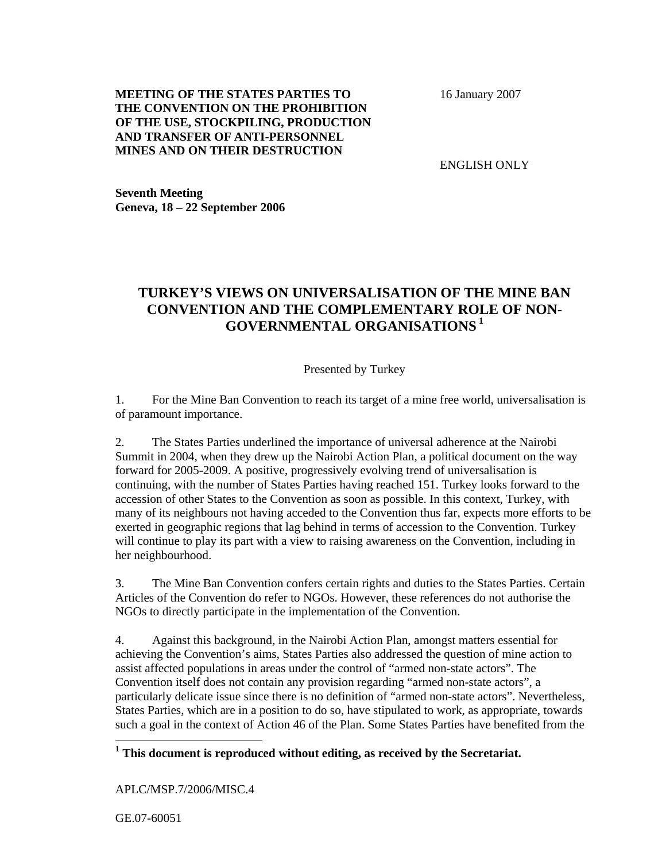## **MEETING OF THE STATES PARTIES TO THE CONVENTION ON THE PROHIBITION OF THE USE, STOCKPILING, PRODUCTION AND TRANSFER OF ANTI-PERSONNEL MINES AND ON THEIR DESTRUCTION**

16 January 2007

ENGLISH ONLY

**Seventh Meeting Geneva, 18 – 22 September 2006** 

## **TURKEY'S VIEWS ON UNIVERSALISATION OF THE MINE BAN CONVENTION AND THE COMPLEMENTARY ROLE OF NON-GOVERNMENTAL ORGANISATIONS<sup>1</sup>**

Presented by Turkey

1. For the Mine Ban Convention to reach its target of a mine free world, universalisation is of paramount importance.

2. The States Parties underlined the importance of universal adherence at the Nairobi Summit in 2004, when they drew up the Nairobi Action Plan, a political document on the way forward for 2005-2009. A positive, progressively evolving trend of universalisation is continuing, with the number of States Parties having reached 151. Turkey looks forward to the accession of other States to the Convention as soon as possible. In this context, Turkey, with many of its neighbours not having acceded to the Convention thus far, expects more efforts to be exerted in geographic regions that lag behind in terms of accession to the Convention. Turkey will continue to play its part with a view to raising awareness on the Convention, including in her neighbourhood.

3. The Mine Ban Convention confers certain rights and duties to the States Parties. Certain Articles of the Convention do refer to NGOs. However, these references do not authorise the NGOs to directly participate in the implementation of the Convention.

4. Against this background, in the Nairobi Action Plan, amongst matters essential for achieving the Convention's aims, States Parties also addressed the question of mine action to assist affected populations in areas under the control of "armed non-state actors". The Convention itself does not contain any provision regarding "armed non-state actors", a particularly delicate issue since there is no definition of "armed non-state actors". Nevertheless, States Parties, which are in a position to do so, have stipulated to work, as appropriate, towards such a goal in the context of Action 46 of the Plan. Some States Parties have benefited from the

<sup>1</sup> This document is reproduced without editing, as received by the Secretariat.

APLC/MSP.7/2006/MISC.4

GE.07-60051

 $\overline{a}$